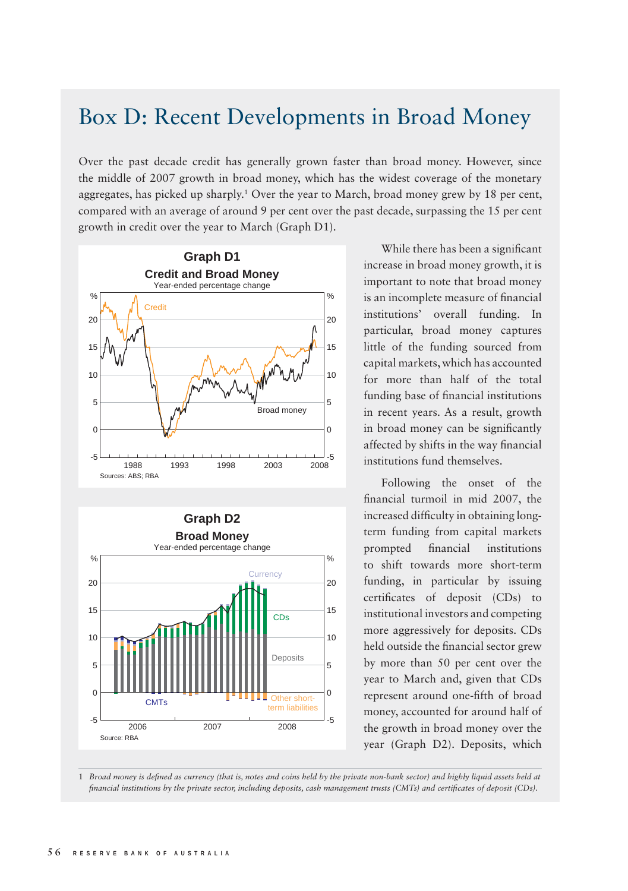## Box D: Recent Developments in Broad Money

Over the past decade credit has generally grown faster than broad money. However, since the middle of 2007 growth in broad money, which has the widest coverage of the monetary aggregates, has picked up sharply.<sup>1</sup> Over the year to March, broad money grew by 18 per cent, compared with an average of around 9 per cent over the past decade, surpassing the 15 per cent growth in credit over the year to March (Graph D1).





While there has been a significant increase in broad money growth, it is important to note that broad money is an incomplete measure of financial institutions' overall funding. In particular, broad money captures little of the funding sourced from capital markets, which has accounted for more than half of the total funding base of financial institutions in recent years. As a result, growth in broad money can be significantly affected by shifts in the way financial institutions fund themselves.

Following the onset of the financial turmoil in mid 2007, the increased difficulty in obtaining longterm funding from capital markets prompted financial institutions to shift towards more short-term funding, in particular by issuing certificates of deposit (CDs) to institutional investors and competing more aggressively for deposits. CDs held outside the financial sector grew by more than 50 per cent over the year to March and, given that CDs represent around one-fifth of broad money, accounted for around half of the growth in broad money over the year (Graph D2). Deposits, which

1 Broad money is defined as currency (that is, notes and coins held by the private non-bank sector) and highly liquid assets held at *financial institutions by the private sector, including deposits, cash management trusts (CMTs) and certificates of deposit (CDs).*